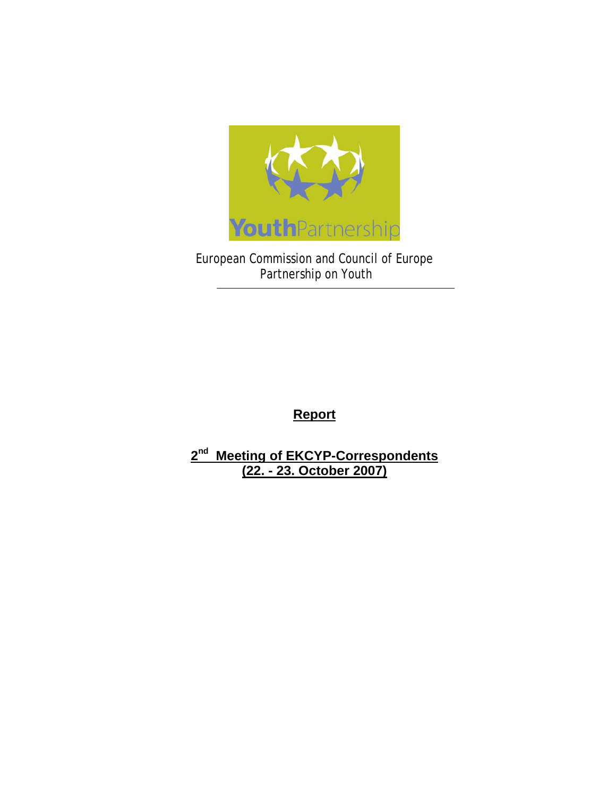

European Commission and Council of Europe Partnership on Youth

**Report**

**2nd Meeting of EKCYP-Correspondents (22. - 23. October 2007)**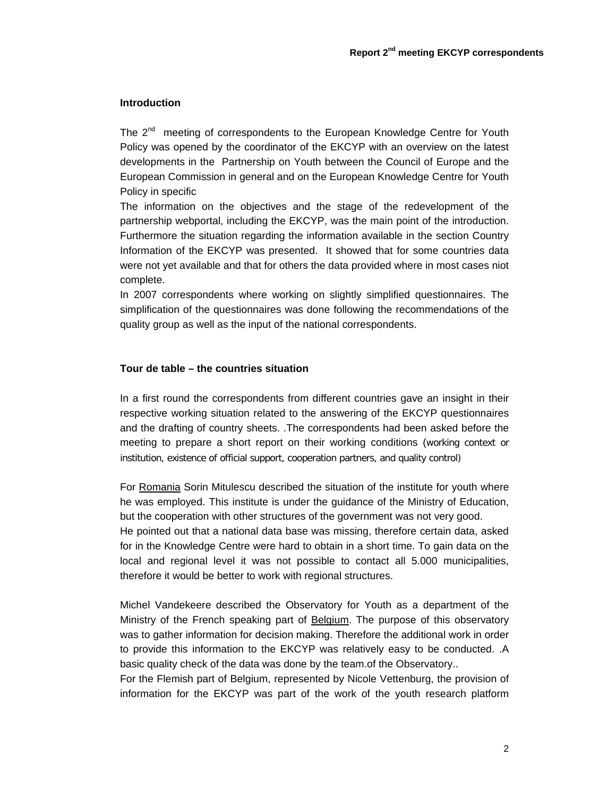# **Introduction**

The 2<sup>nd</sup> meeting of correspondents to the European Knowledge Centre for Youth Policy was opened by the coordinator of the EKCYP with an overview on the latest developments in the Partnership on Youth between the Council of Europe and the European Commission in general and on the European Knowledge Centre for Youth Policy in specific

The information on the objectives and the stage of the redevelopment of the partnership webportal, including the EKCYP, was the main point of the introduction. Furthermore the situation regarding the information available in the section Country Information of the EKCYP was presented. It showed that for some countries data were not yet available and that for others the data provided where in most cases niot complete.

In 2007 correspondents where working on slightly simplified questionnaires. The simplification of the questionnaires was done following the recommendations of the quality group as well as the input of the national correspondents.

# **Tour de table – the countries situation**

In a first round the correspondents from different countries gave an insight in their respective working situation related to the answering of the EKCYP questionnaires and the drafting of country sheets. .The correspondents had been asked before the meeting to prepare a short report on their working conditions (working context or institution, existence of official support, cooperation partners, and quality control)

For Romania Sorin Mitulescu described the situation of the institute for youth where he was employed. This institute is under the guidance of the Ministry of Education, but the cooperation with other structures of the government was not very good.

He pointed out that a national data base was missing, therefore certain data, asked for in the Knowledge Centre were hard to obtain in a short time. To gain data on the local and regional level it was not possible to contact all 5.000 municipalities, therefore it would be better to work with regional structures.

Michel Vandekeere described the Observatory for Youth as a department of the Ministry of the French speaking part of **Belgium**. The purpose of this observatory was to gather information for decision making. Therefore the additional work in order to provide this information to the EKCYP was relatively easy to be conducted. .A basic quality check of the data was done by the team.of the Observatory..

For the Flemish part of Belgium, represented by Nicole Vettenburg, the provision of information for the EKCYP was part of the work of the youth research platform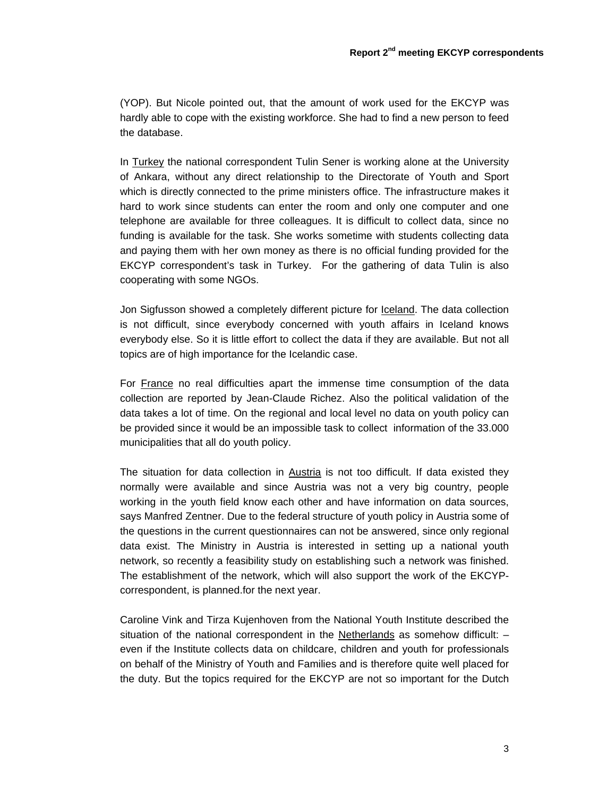(YOP). But Nicole pointed out, that the amount of work used for the EKCYP was hardly able to cope with the existing workforce. She had to find a new person to feed the database.

In Turkey the national correspondent Tulin Sener is working alone at the University of Ankara, without any direct relationship to the Directorate of Youth and Sport which is directly connected to the prime ministers office. The infrastructure makes it hard to work since students can enter the room and only one computer and one telephone are available for three colleagues. It is difficult to collect data, since no funding is available for the task. She works sometime with students collecting data and paying them with her own money as there is no official funding provided for the EKCYP correspondent's task in Turkey. For the gathering of data Tulin is also cooperating with some NGOs.

Jon Sigfusson showed a completely different picture for **Iceland**. The data collection is not difficult, since everybody concerned with youth affairs in Iceland knows everybody else. So it is little effort to collect the data if they are available. But not all topics are of high importance for the Icelandic case.

For France no real difficulties apart the immense time consumption of the data collection are reported by Jean-Claude Richez. Also the political validation of the data takes a lot of time. On the regional and local level no data on youth policy can be provided since it would be an impossible task to collect information of the 33.000 municipalities that all do youth policy.

The situation for data collection in Austria is not too difficult. If data existed they normally were available and since Austria was not a very big country, people working in the youth field know each other and have information on data sources, says Manfred Zentner. Due to the federal structure of youth policy in Austria some of the questions in the current questionnaires can not be answered, since only regional data exist. The Ministry in Austria is interested in setting up a national youth network, so recently a feasibility study on establishing such a network was finished. The establishment of the network, which will also support the work of the EKCYPcorrespondent, is planned.for the next year.

Caroline Vink and Tirza Kujenhoven from the National Youth Institute described the situation of the national correspondent in the Netherlands as somehow difficult: – even if the Institute collects data on childcare, children and youth for professionals on behalf of the Ministry of Youth and Families and is therefore quite well placed for the duty. But the topics required for the EKCYP are not so important for the Dutch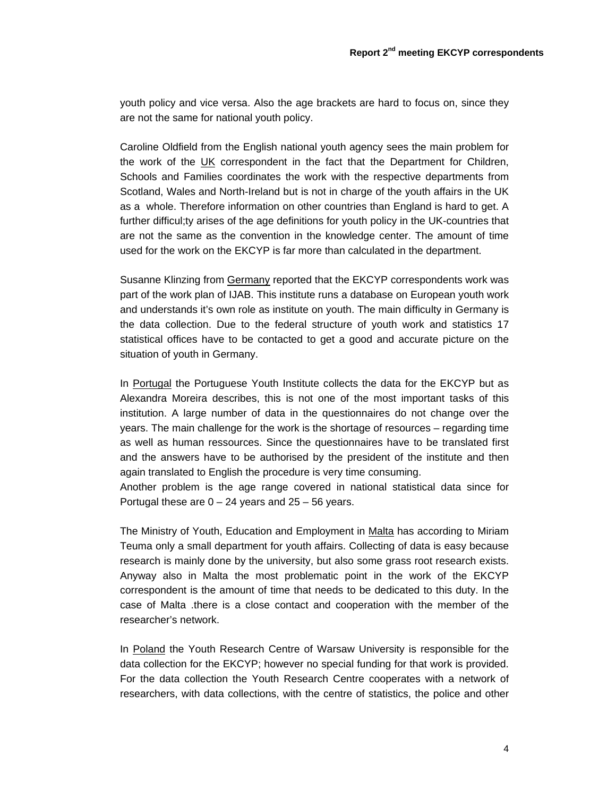youth policy and vice versa. Also the age brackets are hard to focus on, since they are not the same for national youth policy.

Caroline Oldfield from the English national youth agency sees the main problem for the work of the UK correspondent in the fact that the Department for Children, Schools and Families coordinates the work with the respective departments from Scotland, Wales and North-Ireland but is not in charge of the youth affairs in the UK as a whole. Therefore information on other countries than England is hard to get. A further difficul;ty arises of the age definitions for youth policy in the UK-countries that are not the same as the convention in the knowledge center. The amount of time used for the work on the EKCYP is far more than calculated in the department.

Susanne Klinzing from Germany reported that the EKCYP correspondents work was part of the work plan of IJAB. This institute runs a database on European youth work and understands it's own role as institute on youth. The main difficulty in Germany is the data collection. Due to the federal structure of youth work and statistics 17 statistical offices have to be contacted to get a good and accurate picture on the situation of youth in Germany.

In Portugal the Portuguese Youth Institute collects the data for the EKCYP but as Alexandra Moreira describes, this is not one of the most important tasks of this institution. A large number of data in the questionnaires do not change over the years. The main challenge for the work is the shortage of resources – regarding time as well as human ressources. Since the questionnaires have to be translated first and the answers have to be authorised by the president of the institute and then again translated to English the procedure is very time consuming.

Another problem is the age range covered in national statistical data since for Portugal these are  $0 - 24$  years and  $25 - 56$  years.

The Ministry of Youth, Education and Employment in Malta has according to Miriam Teuma only a small department for youth affairs. Collecting of data is easy because research is mainly done by the university, but also some grass root research exists. Anyway also in Malta the most problematic point in the work of the EKCYP correspondent is the amount of time that needs to be dedicated to this duty. In the case of Malta .there is a close contact and cooperation with the member of the researcher's network.

In Poland the Youth Research Centre of Warsaw University is responsible for the data collection for the EKCYP; however no special funding for that work is provided. For the data collection the Youth Research Centre cooperates with a network of researchers, with data collections, with the centre of statistics, the police and other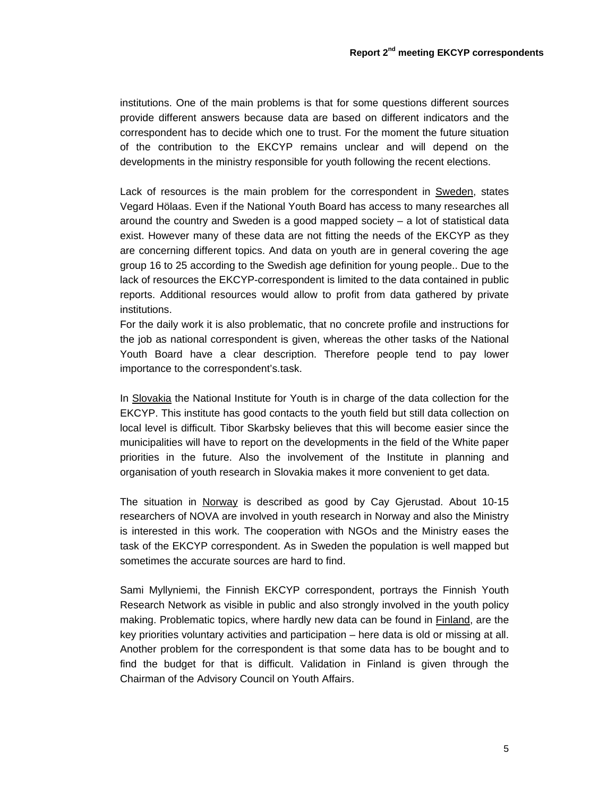institutions. One of the main problems is that for some questions different sources provide different answers because data are based on different indicators and the correspondent has to decide which one to trust. For the moment the future situation of the contribution to the EKCYP remains unclear and will depend on the developments in the ministry responsible for youth following the recent elections.

Lack of resources is the main problem for the correspondent in Sweden, states Vegard Hölaas. Even if the National Youth Board has access to many researches all around the country and Sweden is a good mapped society – a lot of statistical data exist. However many of these data are not fitting the needs of the EKCYP as they are concerning different topics. And data on youth are in general covering the age group 16 to 25 according to the Swedish age definition for young people.. Due to the lack of resources the EKCYP-correspondent is limited to the data contained in public reports. Additional resources would allow to profit from data gathered by private institutions.

For the daily work it is also problematic, that no concrete profile and instructions for the job as national correspondent is given, whereas the other tasks of the National Youth Board have a clear description. Therefore people tend to pay lower importance to the correspondent's.task.

In Slovakia the National Institute for Youth is in charge of the data collection for the EKCYP. This institute has good contacts to the youth field but still data collection on local level is difficult. Tibor Skarbsky believes that this will become easier since the municipalities will have to report on the developments in the field of the White paper priorities in the future. Also the involvement of the Institute in planning and organisation of youth research in Slovakia makes it more convenient to get data.

The situation in Norway is described as good by Cay Gjerustad. About 10-15 researchers of NOVA are involved in youth research in Norway and also the Ministry is interested in this work. The cooperation with NGOs and the Ministry eases the task of the EKCYP correspondent. As in Sweden the population is well mapped but sometimes the accurate sources are hard to find.

Sami Myllyniemi, the Finnish EKCYP correspondent, portrays the Finnish Youth Research Network as visible in public and also strongly involved in the youth policy making. Problematic topics, where hardly new data can be found in **Finland**, are the key priorities voluntary activities and participation – here data is old or missing at all. Another problem for the correspondent is that some data has to be bought and to find the budget for that is difficult. Validation in Finland is given through the Chairman of the Advisory Council on Youth Affairs.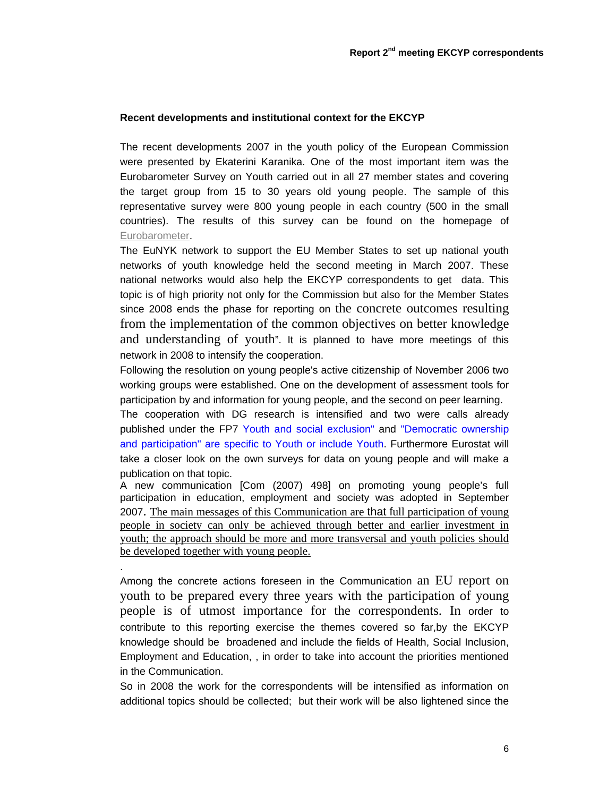## **Recent developments and institutional context for the EKCYP**

The recent developments 2007 in the youth policy of the European Commission were presented by Ekaterini Karanika. One of the most important item was the Eurobarometer Survey on Youth carried out in all 27 member states and covering the target group from 15 to 30 years old young people. The sample of this representative survey were 800 young people in each country (500 in the small countries). The results of this survey can be found on the homepage of Eurobarometer.

The EuNYK network to support the EU Member States to set up national youth networks of youth knowledge held the second meeting in March 2007. These national networks would also help the EKCYP correspondents to get data. This topic is of high priority not only for the Commission but also for the Member States since 2008 ends the phase for reporting on the concrete outcomes resulting from the implementation of the common objectives on better knowledge and understanding of youth". It is planned to have more meetings of this network in 2008 to intensify the cooperation.

Following the resolution on young people's active citizenship of November 2006 two working groups were established. One on the development of assessment tools for participation by and information for young people, and the second on peer learning.

The cooperation with DG research is intensified and two were calls already published under the FP7 Youth and social exclusion" and "Democratic ownership and participation" are specific to Youth or include Youth. Furthermore Eurostat will take a closer look on the own surveys for data on young people and will make a publication on that topic.

A new communication [Com (2007) 498] on promoting young people's full participation in education, employment and society was adopted in September 2007. The main messages of this Communication are that full participation of young people in society can only be achieved through better and earlier investment in youth; the approach should be more and more transversal and youth policies should be developed together with young people.

.

Among the concrete actions foreseen in the Communication an EU report on youth to be prepared every three years with the participation of young people is of utmost importance for the correspondents. In order to contribute to this reporting exercise the themes covered so far,by the EKCYP knowledge should be broadened and include the fields of Health, Social Inclusion, Employment and Education, , in order to take into account the priorities mentioned in the Communication.

So in 2008 the work for the correspondents will be intensified as information on additional topics should be collected; but their work will be also lightened since the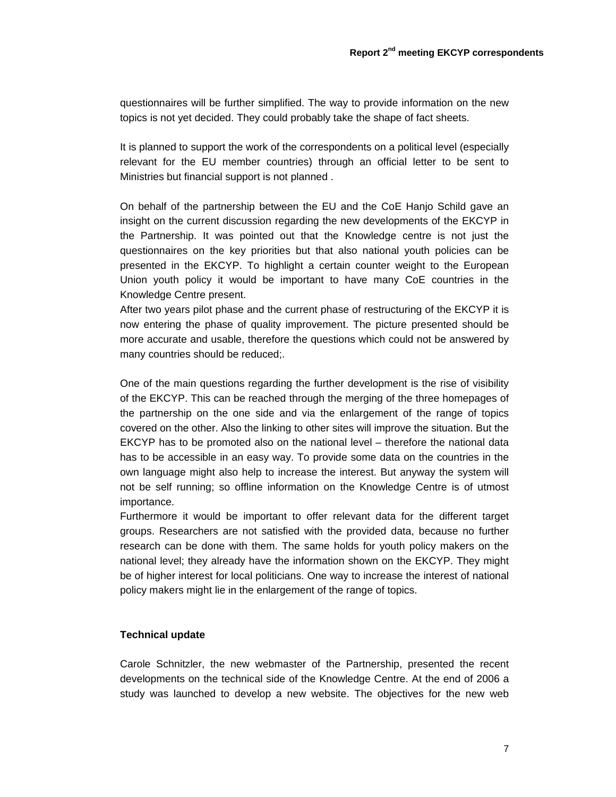questionnaires will be further simplified. The way to provide information on the new topics is not yet decided. They could probably take the shape of fact sheets.

It is planned to support the work of the correspondents on a political level (especially relevant for the EU member countries) through an official letter to be sent to Ministries but financial support is not planned .

On behalf of the partnership between the EU and the CoE Hanjo Schild gave an insight on the current discussion regarding the new developments of the EKCYP in the Partnership. It was pointed out that the Knowledge centre is not just the questionnaires on the key priorities but that also national youth policies can be presented in the EKCYP. To highlight a certain counter weight to the European Union youth policy it would be important to have many CoE countries in the Knowledge Centre present.

After two years pilot phase and the current phase of restructuring of the EKCYP it is now entering the phase of quality improvement. The picture presented should be more accurate and usable, therefore the questions which could not be answered by many countries should be reduced;.

One of the main questions regarding the further development is the rise of visibility of the EKCYP. This can be reached through the merging of the three homepages of the partnership on the one side and via the enlargement of the range of topics covered on the other. Also the linking to other sites will improve the situation. But the EKCYP has to be promoted also on the national level – therefore the national data has to be accessible in an easy way. To provide some data on the countries in the own language might also help to increase the interest. But anyway the system will not be self running; so offline information on the Knowledge Centre is of utmost importance.

Furthermore it would be important to offer relevant data for the different target groups. Researchers are not satisfied with the provided data, because no further research can be done with them. The same holds for youth policy makers on the national level; they already have the information shown on the EKCYP. They might be of higher interest for local politicians. One way to increase the interest of national policy makers might lie in the enlargement of the range of topics.

### **Technical update**

Carole Schnitzler, the new webmaster of the Partnership, presented the recent developments on the technical side of the Knowledge Centre. At the end of 2006 a study was launched to develop a new website. The objectives for the new web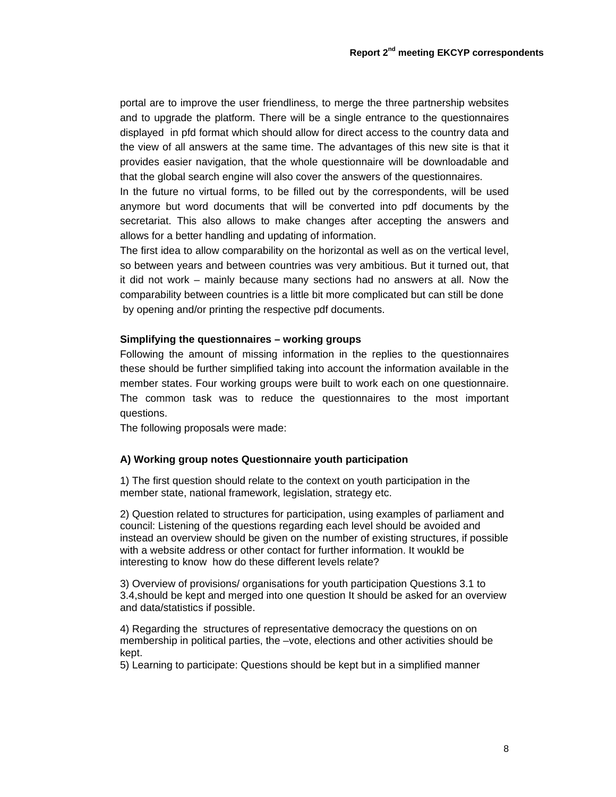portal are to improve the user friendliness, to merge the three partnership websites and to upgrade the platform. There will be a single entrance to the questionnaires displayed in pfd format which should allow for direct access to the country data and the view of all answers at the same time. The advantages of this new site is that it provides easier navigation, that the whole questionnaire will be downloadable and that the global search engine will also cover the answers of the questionnaires.

In the future no virtual forms, to be filled out by the correspondents, will be used anymore but word documents that will be converted into pdf documents by the secretariat. This also allows to make changes after accepting the answers and allows for a better handling and updating of information.

The first idea to allow comparability on the horizontal as well as on the vertical level, so between years and between countries was very ambitious. But it turned out, that it did not work – mainly because many sections had no answers at all. Now the comparability between countries is a little bit more complicated but can still be done by opening and/or printing the respective pdf documents.

### **Simplifying the questionnaires – working groups**

Following the amount of missing information in the replies to the questionnaires these should be further simplified taking into account the information available in the member states. Four working groups were built to work each on one questionnaire. The common task was to reduce the questionnaires to the most important questions.

The following proposals were made:

### **A) Working group notes Questionnaire youth participation**

1) The first question should relate to the context on youth participation in the member state, national framework, legislation, strategy etc.

2) Question related to structures for participation, using examples of parliament and council: Listening of the questions regarding each level should be avoided and instead an overview should be given on the number of existing structures, if possible with a website address or other contact for further information. It woukld be interesting to know how do these different levels relate?

3) Overview of provisions/ organisations for youth participation Questions 3.1 to 3.4,should be kept and merged into one question It should be asked for an overview and data/statistics if possible.

4) Regarding the structures of representative democracy the questions on on membership in political parties, the –vote, elections and other activities should be kept.

5) Learning to participate: Questions should be kept but in a simplified manner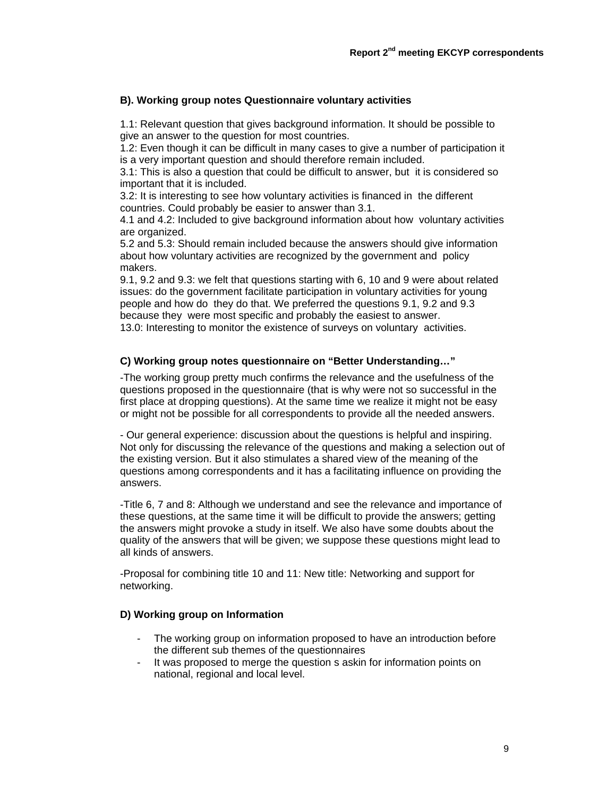### **B). Working group notes Questionnaire voluntary activities**

1.1: Relevant question that gives background information. It should be possible to give an answer to the question for most countries.

1.2: Even though it can be difficult in many cases to give a number of participation it is a very important question and should therefore remain included.

3.1: This is also a question that could be difficult to answer, but it is considered so important that it is included.

3.2: It is interesting to see how voluntary activities is financed in the different countries. Could probably be easier to answer than 3.1.

4.1 and 4.2: Included to give background information about how voluntary activities are organized.

5.2 and 5.3: Should remain included because the answers should give information about how voluntary activities are recognized by the government and policy makers.

9.1, 9.2 and 9.3: we felt that questions starting with 6, 10 and 9 were about related issues: do the government facilitate participation in voluntary activities for young people and how do they do that. We preferred the questions 9.1, 9.2 and 9.3 because they were most specific and probably the easiest to answer.

13.0: Interesting to monitor the existence of surveys on voluntary activities.

### **C) Working group notes questionnaire on "Better Understanding…"**

-The working group pretty much confirms the relevance and the usefulness of the questions proposed in the questionnaire (that is why were not so successful in the first place at dropping questions). At the same time we realize it might not be easy or might not be possible for all correspondents to provide all the needed answers.

- Our general experience: discussion about the questions is helpful and inspiring. Not only for discussing the relevance of the questions and making a selection out of the existing version. But it also stimulates a shared view of the meaning of the questions among correspondents and it has a facilitating influence on providing the answers.

-Title 6, 7 and 8: Although we understand and see the relevance and importance of these questions, at the same time it will be difficult to provide the answers; getting the answers might provoke a study in itself. We also have some doubts about the quality of the answers that will be given; we suppose these questions might lead to all kinds of answers.

-Proposal for combining title 10 and 11: New title: Networking and support for networking.

# **D) Working group on Information**

- The working group on information proposed to have an introduction before the different sub themes of the questionnaires
- It was proposed to merge the question s askin for information points on national, regional and local level.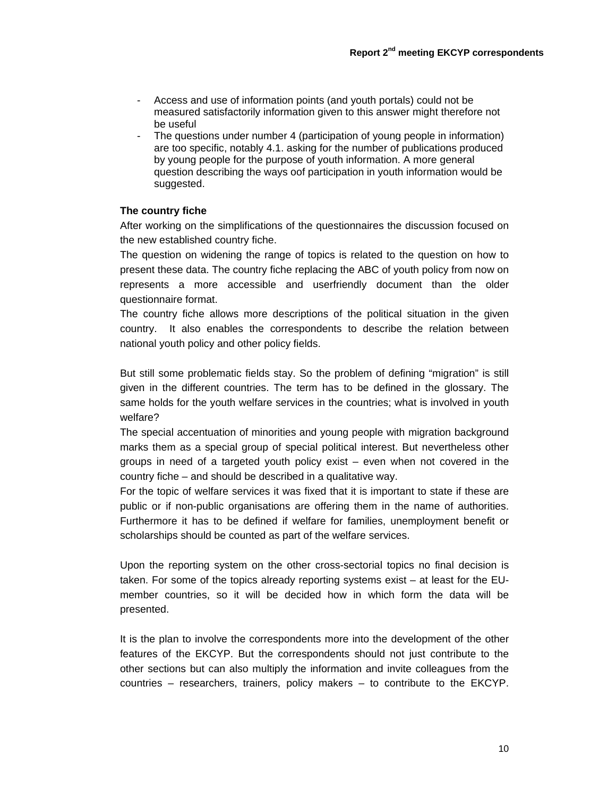- Access and use of information points (and youth portals) could not be measured satisfactorily information given to this answer might therefore not be useful
- The questions under number 4 (participation of young people in information) are too specific, notably 4.1. asking for the number of publications produced by young people for the purpose of youth information. A more general question describing the ways oof participation in youth information would be suggested.

# **The country fiche**

After working on the simplifications of the questionnaires the discussion focused on the new established country fiche.

The question on widening the range of topics is related to the question on how to present these data. The country fiche replacing the ABC of youth policy from now on represents a more accessible and userfriendly document than the older questionnaire format.

The country fiche allows more descriptions of the political situation in the given country. It also enables the correspondents to describe the relation between national youth policy and other policy fields.

But still some problematic fields stay. So the problem of defining "migration" is still given in the different countries. The term has to be defined in the glossary. The same holds for the youth welfare services in the countries; what is involved in youth welfare?

The special accentuation of minorities and young people with migration background marks them as a special group of special political interest. But nevertheless other groups in need of a targeted youth policy exist – even when not covered in the country fiche – and should be described in a qualitative way.

For the topic of welfare services it was fixed that it is important to state if these are public or if non-public organisations are offering them in the name of authorities. Furthermore it has to be defined if welfare for families, unemployment benefit or scholarships should be counted as part of the welfare services.

Upon the reporting system on the other cross-sectorial topics no final decision is taken. For some of the topics already reporting systems exist – at least for the EUmember countries, so it will be decided how in which form the data will be presented.

It is the plan to involve the correspondents more into the development of the other features of the EKCYP. But the correspondents should not just contribute to the other sections but can also multiply the information and invite colleagues from the countries – researchers, trainers, policy makers – to contribute to the EKCYP.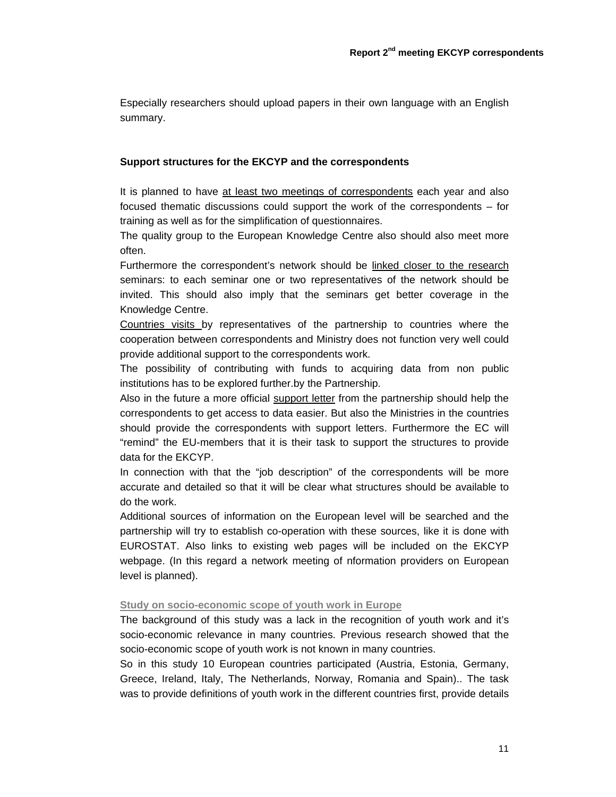Especially researchers should upload papers in their own language with an English summary.

### **Support structures for the EKCYP and the correspondents**

It is planned to have at least two meetings of correspondents each year and also focused thematic discussions could support the work of the correspondents – for training as well as for the simplification of questionnaires.

The quality group to the European Knowledge Centre also should also meet more often.

Furthermore the correspondent's network should be linked closer to the research seminars: to each seminar one or two representatives of the network should be invited. This should also imply that the seminars get better coverage in the Knowledge Centre.

Countries visits by representatives of the partnership to countries where the cooperation between correspondents and Ministry does not function very well could provide additional support to the correspondents work.

The possibility of contributing with funds to acquiring data from non public institutions has to be explored further.by the Partnership.

Also in the future a more official support letter from the partnership should help the correspondents to get access to data easier. But also the Ministries in the countries should provide the correspondents with support letters. Furthermore the EC will "remind" the EU-members that it is their task to support the structures to provide data for the EKCYP.

In connection with that the "job description" of the correspondents will be more accurate and detailed so that it will be clear what structures should be available to do the work.

Additional sources of information on the European level will be searched and the partnership will try to establish co-operation with these sources, like it is done with EUROSTAT. Also links to existing web pages will be included on the EKCYP webpage. (In this regard a network meeting of nformation providers on European level is planned).

### **Study on socio-economic scope of youth work in Europe**

The background of this study was a lack in the recognition of youth work and it's socio-economic relevance in many countries. Previous research showed that the socio-economic scope of youth work is not known in many countries.

So in this study 10 European countries participated (Austria, Estonia, Germany, Greece, Ireland, Italy, The Netherlands, Norway, Romania and Spain).. The task was to provide definitions of youth work in the different countries first, provide details